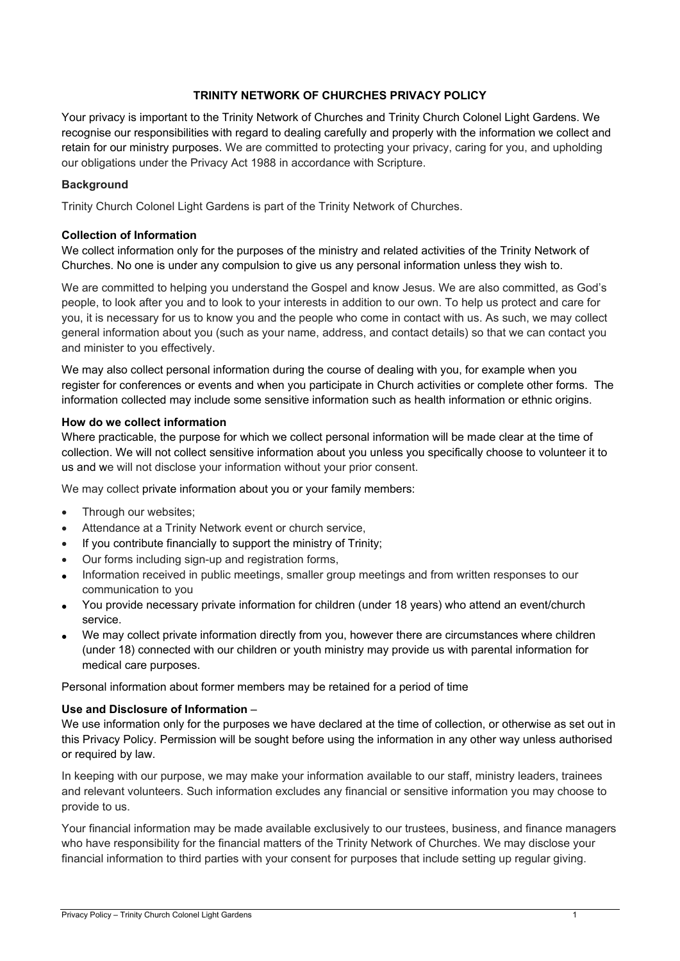# **TRINITY NETWORK OF CHURCHES PRIVACY POLICY**

Your privacy is important to the Trinity Network of Churches and Trinity Church Colonel Light Gardens. We recognise our responsibilities with regard to dealing carefully and properly with the information we collect and retain for our ministry purposes. We are committed to protecting your privacy, caring for you, and upholding our obligations under the Privacy Act 1988 in accordance with Scripture.

### **Background**

Trinity Church Colonel Light Gardens is part of the Trinity Network of Churches.

#### **Collection of Information**

We collect information only for the purposes of the ministry and related activities of the Trinity Network of Churches. No one is under any compulsion to give us any personal information unless they wish to.

We are committed to helping you understand the Gospel and know Jesus. We are also committed, as God's people, to look after you and to look to your interests in addition to our own. To help us protect and care for you, it is necessary for us to know you and the people who come in contact with us. As such, we may collect general information about you (such as your name, address, and contact details) so that we can contact you and minister to you effectively.

We may also collect personal information during the course of dealing with you, for example when you register for conferences or events and when you participate in Church activities or complete other forms. The information collected may include some sensitive information such as health information or ethnic origins.

#### **How do we collect information**

Where practicable, the purpose for which we collect personal information will be made clear at the time of collection. We will not collect sensitive information about you unless you specifically choose to volunteer it to us and we will not disclose your information without your prior consent.

We may collect private information about you or your family members:

- Through our websites;
- Attendance at a Trinity Network event or church service,
- If you contribute financially to support the ministry of Trinity;
- Our forms including sign-up and registration forms,
- Information received in public meetings, smaller group meetings and from written responses to our communication to you
- You provide necessary private information for children (under 18 years) who attend an event/church service.
- We may collect private information directly from you, however there are circumstances where children (under 18) connected with our children or youth ministry may provide us with parental information for medical care purposes.

Personal information about former members may be retained for a period of time

### **Use and Disclosure of Information** –

We use information only for the purposes we have declared at the time of collection, or otherwise as set out in this Privacy Policy. Permission will be sought before using the information in any other way unless authorised or required by law.

In keeping with our purpose, we may make your information available to our staff, ministry leaders, trainees and relevant volunteers. Such information excludes any financial or sensitive information you may choose to provide to us.

Your financial information may be made available exclusively to our trustees, business, and finance managers who have responsibility for the financial matters of the Trinity Network of Churches. We may disclose your financial information to third parties with your consent for purposes that include setting up regular giving.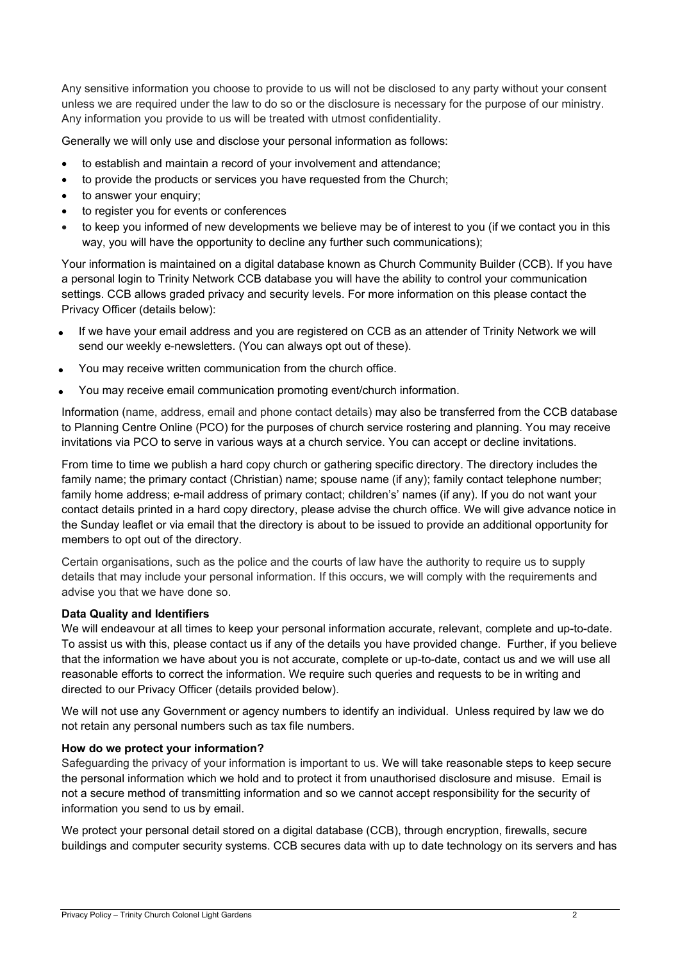Any sensitive information you choose to provide to us will not be disclosed to any party without your consent unless we are required under the law to do so or the disclosure is necessary for the purpose of our ministry. Any information you provide to us will be treated with utmost confidentiality.

Generally we will only use and disclose your personal information as follows:

- to establish and maintain a record of your involvement and attendance;
- to provide the products or services you have requested from the Church;
- to answer your enquiry:
- to register you for events or conferences
- to keep you informed of new developments we believe may be of interest to you (if we contact you in this way, you will have the opportunity to decline any further such communications);

Your information is maintained on a digital database known as Church Community Builder (CCB). If you have a personal login to Trinity Network CCB database you will have the ability to control your communication settings. CCB allows graded privacy and security levels. For more information on this please contact the Privacy Officer (details below):

- If we have your email address and you are registered on CCB as an attender of Trinity Network we will send our weekly e-newsletters. (You can always opt out of these).
- You may receive written communication from the church office.
- You may receive email communication promoting event/church information.

Information (name, address, email and phone contact details) may also be transferred from the CCB database to Planning Centre Online (PCO) for the purposes of church service rostering and planning. You may receive invitations via PCO to serve in various ways at a church service. You can accept or decline invitations.

From time to time we publish a hard copy church or gathering specific directory. The directory includes the family name; the primary contact (Christian) name; spouse name (if any); family contact telephone number; family home address; e-mail address of primary contact; children's' names (if any). If you do not want your contact details printed in a hard copy directory, please advise the church office. We will give advance notice in the Sunday leaflet or via email that the directory is about to be issued to provide an additional opportunity for members to opt out of the directory.

Certain organisations, such as the police and the courts of law have the authority to require us to supply details that may include your personal information. If this occurs, we will comply with the requirements and advise you that we have done so.

### **Data Quality and Identifiers**

We will endeavour at all times to keep your personal information accurate, relevant, complete and up-to-date. To assist us with this, please contact us if any of the details you have provided change. Further, if you believe that the information we have about you is not accurate, complete or up-to-date, contact us and we will use all reasonable efforts to correct the information. We require such queries and requests to be in writing and directed to our Privacy Officer (details provided below).

We will not use any Government or agency numbers to identify an individual. Unless required by law we do not retain any personal numbers such as tax file numbers.

### **How do we protect your information?**

Safeguarding the privacy of your information is important to us. We will take reasonable steps to keep secure the personal information which we hold and to protect it from unauthorised disclosure and misuse. Email is not a secure method of transmitting information and so we cannot accept responsibility for the security of information you send to us by email.

We protect your personal detail stored on a digital database (CCB), through encryption, firewalls, secure buildings and computer security systems. CCB secures data with up to date technology on its servers and has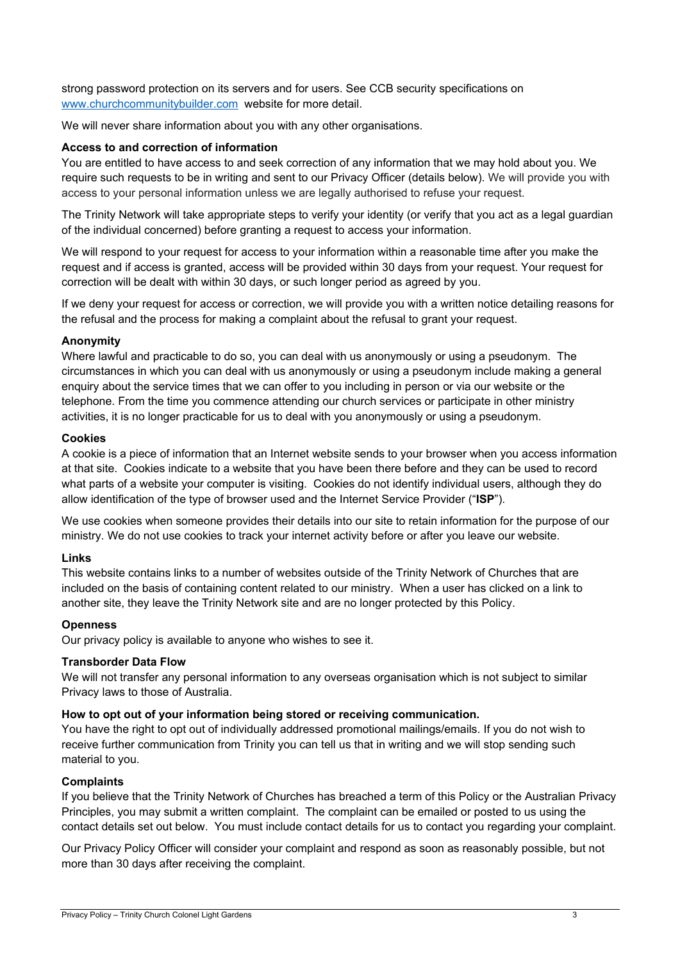strong password protection on its servers and for users. See CCB security specifications on www.churchcommunitybuilder.com website for more detail.

We will never share information about you with any other organisations.

## **Access to and correction of information**

You are entitled to have access to and seek correction of any information that we may hold about you. We require such requests to be in writing and sent to our Privacy Officer (details below). We will provide you with access to your personal information unless we are legally authorised to refuse your request.

The Trinity Network will take appropriate steps to verify your identity (or verify that you act as a legal guardian of the individual concerned) before granting a request to access your information.

We will respond to your request for access to your information within a reasonable time after you make the request and if access is granted, access will be provided within 30 days from your request. Your request for correction will be dealt with within 30 days, or such longer period as agreed by you.

If we deny your request for access or correction, we will provide you with a written notice detailing reasons for the refusal and the process for making a complaint about the refusal to grant your request.

## **Anonymity**

Where lawful and practicable to do so, you can deal with us anonymously or using a pseudonym. The circumstances in which you can deal with us anonymously or using a pseudonym include making a general enquiry about the service times that we can offer to you including in person or via our website or the telephone. From the time you commence attending our church services or participate in other ministry activities, it is no longer practicable for us to deal with you anonymously or using a pseudonym.

## **Cookies**

A cookie is a piece of information that an Internet website sends to your browser when you access information at that site. Cookies indicate to a website that you have been there before and they can be used to record what parts of a website your computer is visiting. Cookies do not identify individual users, although they do allow identification of the type of browser used and the Internet Service Provider ("**ISP**").

We use cookies when someone provides their details into our site to retain information for the purpose of our ministry. We do not use cookies to track your internet activity before or after you leave our website.

# **Links**

This website contains links to a number of websites outside of the Trinity Network of Churches that are included on the basis of containing content related to our ministry. When a user has clicked on a link to another site, they leave the Trinity Network site and are no longer protected by this Policy.

### **Openness**

Our privacy policy is available to anyone who wishes to see it.

### **Transborder Data Flow**

We will not transfer any personal information to any overseas organisation which is not subject to similar Privacy laws to those of Australia.

# **How to opt out of your information being stored or receiving communication.**

You have the right to opt out of individually addressed promotional mailings/emails. If you do not wish to receive further communication from Trinity you can tell us that in writing and we will stop sending such material to you.

### **Complaints**

If you believe that the Trinity Network of Churches has breached a term of this Policy or the Australian Privacy Principles, you may submit a written complaint. The complaint can be emailed or posted to us using the contact details set out below. You must include contact details for us to contact you regarding your complaint.

Our Privacy Policy Officer will consider your complaint and respond as soon as reasonably possible, but not more than 30 days after receiving the complaint.